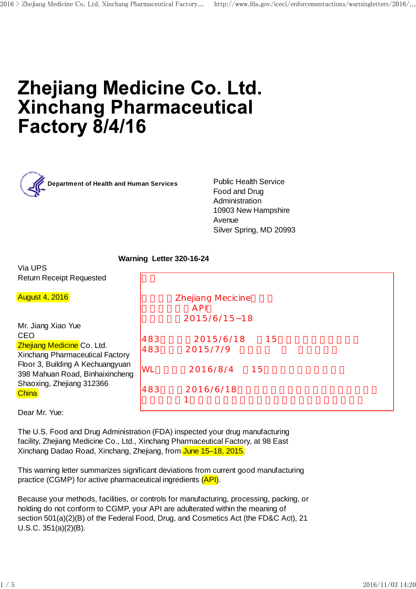# **Zhejiang Medicine Co. Ltd. Xinchang Pharmaceutical Factory 8/4/16**



**Department of Health and Human Services Public Health Service** 

Food and Drug Administration 10903 New Hampshire Avenue Silver Spring, MD 20993

## **Warning Letter 320-16-24**

Via UPS Return Receipt Requested

| <b>August 4, 2016</b>                                                                                            |            | Zhejiang Mecicine<br>A PI |
|------------------------------------------------------------------------------------------------------------------|------------|---------------------------|
|                                                                                                                  |            | $2015/6/15 - 18$          |
| Mr. Jiang Xiao Yue                                                                                               |            |                           |
| <b>CEO</b>                                                                                                       | 483        | 2015/6/18<br>15           |
| Zhejiang Medicine Co. Ltd.                                                                                       | 483        | 2015/7/9                  |
| Xinchang Pharmaceutical Factory                                                                                  |            |                           |
| Floor 3, Building A Kechuangyuan<br>398 Mahuan Road, Binhaixincheng<br>Shaoxing, Zhejiang 312366<br><b>China</b> | <b>IWL</b> | 2016/8/4<br>15            |
|                                                                                                                  | 483        | 2016/6/18                 |

Dear Mr. Yue:

The U.S. Food and Drug Administration (FDA) inspected your drug manufacturing facility, Zhejiang Medicine Co., Ltd., Xinchang Pharmaceutical Factory, at 98 East Xinchang Dadao Road, Xinchang, Zhejiang, from June 15–18, 2015.

This warning letter summarizes significant deviations from current good manufacturing practice (CGMP) for active pharmaceutical ingredients (API).

Because your methods, facilities, or controls for manufacturing, processing, packing, or holding do not conform to CGMP, your API are adulterated within the meaning of section 501(a)(2)(B) of the Federal Food, Drug, and Cosmetics Act (the FD&C Act), 21 U.S.C. 351(a)(2)(B).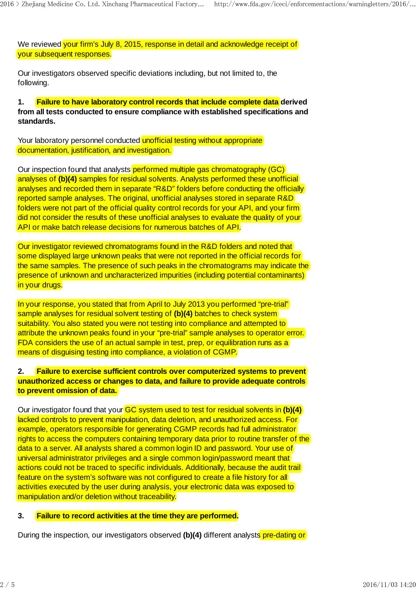We reviewed vour firm's July 8, 2015, response in detail and acknowledge receipt of your subsequent responses.

Our investigators observed specific deviations including, but not limited to, the following.

**1. Failure to have laboratory control records that include complete data derived from all tests conducted to ensure compliance with established specifications and standards.**

Your laboratory personnel conducted unofficial testing without appropriate documentation, justification, and investigation.

Our inspection found that analysts performed multiple gas chromatography (GC) analyses of (b)(4) samples for residual solvents. Analysts performed these unofficial analyses and recorded them in separate "R&D" folders before conducting the officially reported sample analyses. The original, unofficial analyses stored in separate R&D folders were not part of the official quality control records for your API, and your firm did not consider the results of these unofficial analyses to evaluate the quality of your API or make batch release decisions for numerous batches of API.

Our investigator reviewed chromatograms found in the R&D folders and noted that some displayed large unknown peaks that were not reported in the official records for the same samples. The presence of such peaks in the chromatograms may indicate the presence of unknown and uncharacterized impurities (including potential contaminants) in your drugs.

In your response, you stated that from April to July 2013 you performed "pre-trial" sample analyses for residual solvent testing of **(b)(4)** batches to check system suitability. You also stated you were not testing into compliance and attempted to attribute the unknown peaks found in your "pre-trial" sample analyses to operator error. FDA considers the use of an actual sample in test, prep, or equilibration runs as a means of disguising testing into compliance, a violation of CGMP.

### **2. Failure to exercise sufficient controls over computerized systems to prevent unauthorized access or changes to data, and failure to provide adequate controls to prevent omission of data.**

Our investigator found that your GC system used to test for residual solvents in **(b)(4)** lacked controls to prevent manipulation, data deletion, and unauthorized access. For example, operators responsible for generating CGMP records had full administrator rights to access the computers containing temporary data prior to routine transfer of the data to a server. All analysts shared a common login ID and password. Your use of universal administrator privileges and a single common login/password meant that actions could not be traced to specific individuals. Additionally, because the audit trail feature on the system's software was not configured to create a file history for all activities executed by the user during analysis, your electronic data was exposed to manipulation and/or deletion without traceability.

#### **3. Failure to record activities at the time they are performed.**

During the inspection, our investigators observed **(b)(4)** different analysts pre-dating or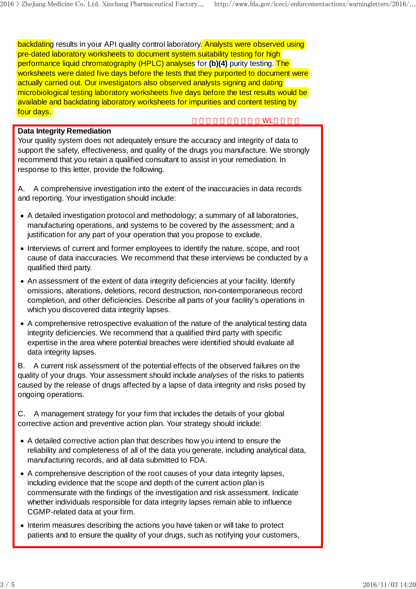backdating results in your API quality control laboratory. Analysts were observed using pre-dated laboratory worksheets to document system suitability testing for high performance liquid chromatography (HPLC) analyses for **(b)(4)** purity testing. The worksheets were dated five days before the tests that they purported to document were actually carried out. Our investigators also observed analysts signing and dating microbiological testing laboratory worksheets five days before the test results would be available and backdating laboratory worksheets for impurities and content testing by four days.

### **Data Integrity Remediation**

Your quality system does not adequately ensure the accuracy and integrity of data to support the safety, effectiveness, and quality of the drugs you manufacture. We strongly recommend that you retain a qualified consultant to assist in your remediation. In response to this letter, provide the following.

A. A comprehensive investigation into the extent of the inaccuracies in data records and reporting. Your investigation should include:

- A detailed investigation protocol and methodology; a summary of all laboratories, manufacturing operations, and systems to be covered by the assessment; and a justification for any part of your operation that you propose to exclude.
- Interviews of current and former employees to identify the nature, scope, and root cause of data inaccuracies. We recommend that these interviews be conducted by a qualified third party.
- An assessment of the extent of data integrity deficiencies at your facility. Identify omissions, alterations, deletions, record destruction, non-contemporaneous record completion, and other deficiencies. Describe all parts of your facility's operations in which you discovered data integrity lapses.
- A comprehensive retrospective evaluation of the nature of the analytical testing data integrity deficiencies. We recommend that a qualified third party with specific expertise in the area where potential breaches were identified should evaluate all data integrity lapses.

B. A current risk assessment of the potential effects of the observed failures on the quality of your drugs. Your assessment should include *analyses* of the risks to patients caused by the release of drugs affected by a lapse of data integrity and risks posed by ongoing operations.

C. A management strategy for your firm that includes the details of your global corrective action and preventive action plan. Your strategy should include:

- A detailed corrective action plan that describes how you intend to ensure the reliability and completeness of all of the data you generate, including analytical data, manufacturing records, and all data submitted to FDA.
- A comprehensive description of the root causes of your data integrity lapses, including evidence that the scope and depth of the current action plan is commensurate with the findings of the investigation and risk assessment. Indicate whether individuals responsible for data integrity lapses remain able to influence CGMP-related data at your firm. **Ostal heogetty Remediation**<br>
Your signals many process the neargy and integrity of each to<br>
Your signals many properties and five distributed integrity of each to<br>
You coommond that you terain a qualified computant burst
	- Interim measures describing the actions you have taken or will take to protect patients and to ensure the quality of your drugs, such as notifying your customers,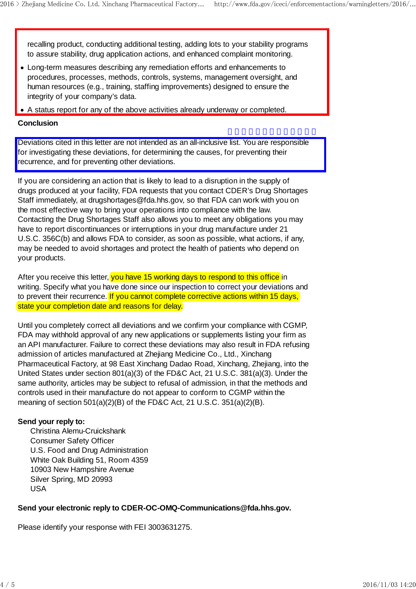recalling product, conducting additional testing, adding lots to your stability programs to assure stability, drug application actions, and enhanced complaint monitoring.

- Long-term measures describing any remediation efforts and enhancements to procedures, processes, methods, controls, systems, management oversight, and human resources (e.g., training, staffing improvements) designed to ensure the integrity of your company's data.
- A status report for any of the above activities already underway or completed.

#### **Conclusion**

Deviations cited in this letter are not intended as an all-inclusive list. You are responsible for investigating these deviations, for determining the causes, for preventing their recurrence, and for preventing other deviations.

If you are considering an action that is likely to lead to a disruption in the supply of drugs produced at your facility, FDA requests that you contact CDER's Drug Shortages Staff immediately, at drugshortages@fda.hhs.gov, so that FDA can work with you on the most effective way to bring your operations into compliance with the law. Contacting the Drug Shortages Staff also allows you to meet any obligations you may have to report discontinuances or interruptions in your drug manufacture under 21 U.S.C. 356C(b) and allows FDA to consider, as soon as possible, what actions, if any, may be needed to avoid shortages and protect the health of patients who depend on your products.

After you receive this letter, you have 15 working days to respond to this office in writing. Specify what you have done since our inspection to correct your deviations and to prevent their recurrence. If you cannot complete corrective actions within 15 days, state your completion date and reasons for delay.

Until you completely correct all deviations and we confirm your compliance with CGMP, FDA may withhold approval of any new applications or supplements listing your firm as an API manufacturer. Failure to correct these deviations may also result in FDA refusing admission of articles manufactured at Zhejiang Medicine Co., Ltd., Xinchang Pharmaceutical Factory, at 98 East Xinchang Dadao Road, Xinchang, Zhejiang, into the United States under section 801(a)(3) of the FD&C Act, 21 U.S.C. 381(a)(3). Under the same authority, articles may be subject to refusal of admission, in that the methods and controls used in their manufacture do not appear to conform to CGMP within the meaning of section 501(a)(2)(B) of the FD&C Act, 21 U.S.C. 351(a)(2)(B). Deviations clear in this letter are not interested as an alt-include list. You are responsible for investigation the obtained in the determining the causes, for preventing the fermion of the determining the causes, for pre

#### **Send your reply to:**

 Christina Alemu-Cruickshank Consumer Safety Officer U.S. Food and Drug Administration White Oak Building 51, Room 4359 10903 New Hampshire Avenue Silver Spring, MD 20993 USA

#### **Send your electronic reply to CDER-OC-OMQ-Communications@fda.hhs.gov.**

Please identify your response with FEI 3003631275.